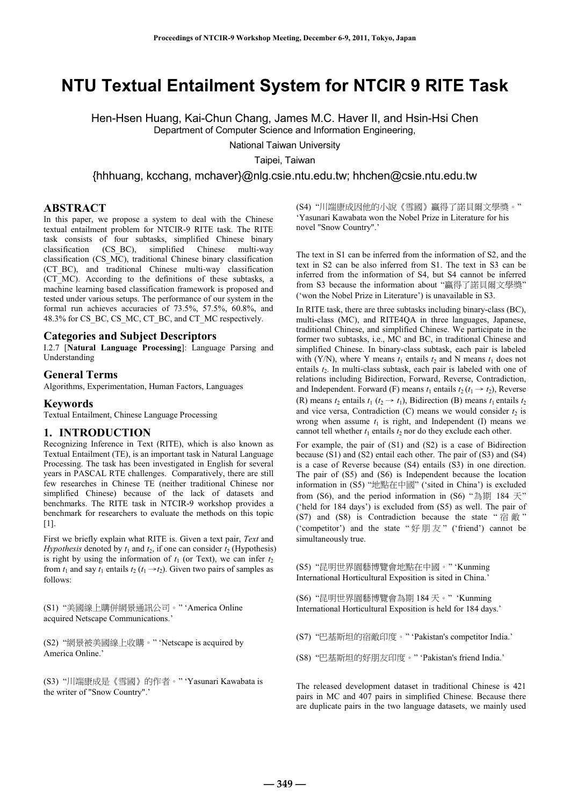# **NTU Textual Entailment System for NTCIR 9 RITE Task**

Hen-Hsen Huang, Kai-Chun Chang, James M.C. Haver II, and Hsin-Hsi Chen Department of Computer Science and Information Engineering,

National Taiwan University

Taipei, Taiwan

{hhhuang, kcchang, mchaver}@nlg.csie.ntu.edu.tw; hhchen@csie.ntu.edu.tw

# **ABSTRACT**

In this paper, we propose a system to deal with the Chinese textual entailment problem for NTCIR-9 RITE task. The RITE task consists of four subtasks, simplified Chinese binary classification (CS BC), simplified Chinese multi-wav  $(CSBC)$ , simplified Chinese multi-way classification (CS\_MC), traditional Chinese binary classification (CT\_BC), and traditional Chinese multi-way classification (CT\_MC). According to the definitions of these subtasks, a machine learning based classification framework is proposed and tested under various setups. The performance of our system in the formal run achieves accuracies of 73.5%, 57.5%, 60.8%, and 48.3% for CS\_BC, CS\_MC, CT\_BC, and CT\_MC respectively.

#### **Categories and Subject Descriptors**

I.2.7 [**Natural Language Processing**]: Language Parsing and Understanding

#### **General Terms**

Algorithms, Experimentation, Human Factors, Languages

#### **Keywords**

Textual Entailment, Chinese Language Processing

#### **1. INTRODUCTION**

Recognizing Inference in Text (RITE), which is also known as Textual Entailment (TE), is an important task in Natural Language Processing. The task has been investigated in English for several years in PASCAL RTE challenges. Comparatively, there are still few researches in Chinese TE (neither traditional Chinese nor simplified Chinese) because of the lack of datasets and benchmarks. The RITE task in NTCIR-9 workshop provides a benchmark for researchers to evaluate the methods on this topic  $[1]$ .

First we briefly explain what RITE is. Given a text pair, *Text* and *Hypothesis* denoted by  $t_1$  and  $t_2$ , if one can consider  $t_2$  (Hypothesis) is right by using the information of  $t_1$  (or Text), we can infer  $t_2$ from  $t_1$  and say  $t_1$  entails  $t_2$  ( $t_1 \rightarrow t_2$ ). Given two pairs of samples as follows:

(S1) "美國線上購併網景通訊公司。" 'America Online acquired Netscape Communications.'

(S2) "網景被美國線上收購。" 'Netscape is acquired by America Online.'

(S3) "川端康成是《雪國》的作者。" 'Yasunari Kawabata is the writer of "Snow Country".'

(S4) "川端康成因他的小說《雪國》贏得了諾貝爾文學獎。" 'Yasunari Kawabata won the Nobel Prize in Literature for his novel "Snow Country".'

The text in S1 can be inferred from the information of S2, and the text in S2 can be also inferred from S1. The text in S3 can be inferred from the information of S4, but S4 cannot be inferred from S3 because the information about "贏得了諾貝爾文學獎" ('won the Nobel Prize in Literature') is unavailable in S3.

In RITE task, there are three subtasks including binary-class (BC), multi-class (MC), and RITE4QA in three languages, Japanese, traditional Chinese, and simplified Chinese. We participate in the former two subtasks, i.e., MC and BC, in traditional Chinese and simplified Chinese. In binary-class subtask, each pair is labeled with (Y/N), where Y means  $t_1$  entails  $t_2$  and N means  $t_1$  does not entails  $t_2$ . In multi-class subtask, each pair is labeled with one of relations including Bidirection, Forward, Reverse, Contradiction, and Independent. Forward (F) means  $t_1$  entails  $t_2$  ( $t_1 \rightarrow t_2$ ), Reverse (R) means  $t_2$  entails  $t_1$  ( $t_2 \rightarrow t_1$ ), Bidirection (B) means  $t_1$  entails  $t_2$ and vice versa, Contradiction  $(C)$  means we would consider  $t_2$  is wrong when assume  $t_1$  is right, and Independent (I) means we cannot tell whether  $t_1$  entails  $t_2$  nor do they exclude each other.

For example, the pair of (S1) and (S2) is a case of Bidirection because (S1) and (S2) entail each other. The pair of (S3) and (S4) is a case of Reverse because (S4) entails (S3) in one direction. The pair of (S5) and (S6) is Independent because the location information in (S5) "地點在中國" ('sited in China') is excluded from (S6), and the period information in (S6) "為期 184  $\pm$ " ('held for 184 days') is excluded from (S5) as well. The pair of (S7) and (S8) is Contradiction because the state " $\hat{\mathbb{F}}$   $\hat{\mathbb{F}}$  " ('competitor') and the state "好朋友" ('friend') cannot be simultaneously true.

(S5) "昆明世界園藝博覽會地點在中國。" 'Kunming International Horticultural Exposition is sited in China.'

(S6) "昆明世界園藝博覽會為期 184 天。" 'Kunming International Horticultural Exposition is held for 184 days.'

(S7) "巴基斯坦的宿敵印度。" 'Pakistan's competitor India.'

(S8) "巴基斯坦的好朋友印度。" 'Pakistan's friend India.'

The released development dataset in traditional Chinese is 421 pairs in MC and 407 pairs in simplified Chinese. Because there are duplicate pairs in the two language datasets, we mainly used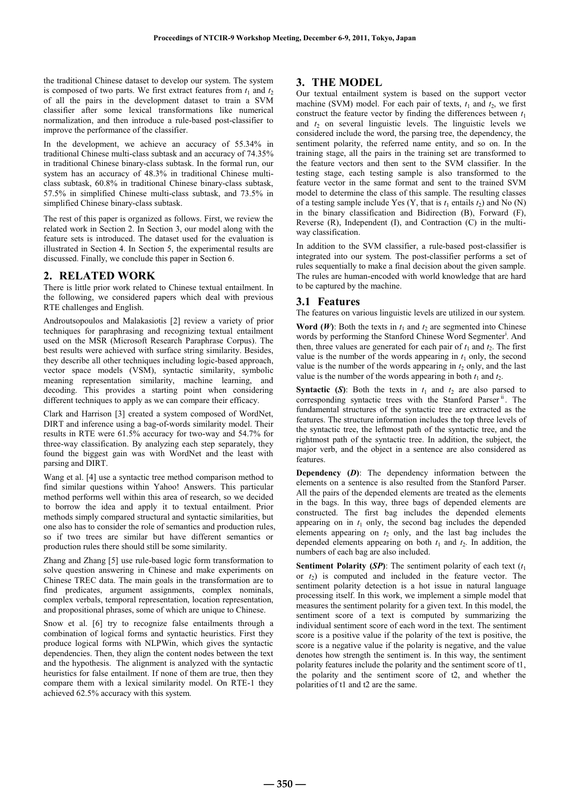the traditional Chinese dataset to develop our system. The system is composed of two parts. We first extract features from  $t_1$  and  $t_2$ of all the pairs in the development dataset to train a SVM classifier after some lexical transformations like numerical normalization, and then introduce a rule-based post-classifier to improve the performance of the classifier.

In the development, we achieve an accuracy of 55.34% in traditional Chinese multi-class subtask and an accuracy of 74.35% in traditional Chinese binary-class subtask. In the formal run, our system has an accuracy of 48.3% in traditional Chinese multiclass subtask, 60.8% in traditional Chinese binary-class subtask, 57.5% in simplified Chinese multi-class subtask, and 73.5% in simplified Chinese binary-class subtask.

The rest of this paper is organized as follows. First, we review the related work in Section 2. In Section 3, our model along with the feature sets is introduced. The dataset used for the evaluation is illustrated in Section 4. In Section 5, the experimental results are discussed. Finally, we conclude this paper in Section 6.

# **2. RELATED WORK**

There is little prior work related to Chinese textual entailment. In the following, we considered papers which deal with previous RTE challenges and English.

Androutsopoulos and Malakasiotis [2] review a variety of prior techniques for paraphrasing and recognizing textual entailment used on the MSR (Microsoft Research Paraphrase Corpus). The best results were achieved with surface string similarity. Besides, they describe all other techniques including logic-based approach, vector space models (VSM), syntactic similarity, symbolic meaning representation similarity, machine learning, and decoding. This provides a starting point when considering different techniques to apply as we can compare their efficacy.

Clark and Harrison [3] created a system composed of WordNet, DIRT and inference using a bag-of-words similarity model. Their results in RTE were 61.5% accuracy for two-way and 54.7% for three-way classification. By analyzing each step separately, they found the biggest gain was with WordNet and the least with parsing and DIRT.

Wang et al. [4] use a syntactic tree method comparison method to find similar questions within Yahoo! Answers. This particular method performs well within this area of research, so we decided to borrow the idea and apply it to textual entailment. Prior methods simply compared structural and syntactic similarities, but one also has to consider the role of semantics and production rules, so if two trees are similar but have different semantics or production rules there should still be some similarity.

Zhang and Zhang [5] use rule-based logic form transformation to solve question answering in Chinese and make experiments on Chinese TREC data. The main goals in the transformation are to find predicates, argument assignments, complex nominals, complex verbals, temporal representation, location representation, and propositional phrases, some of which are unique to Chinese.

Snow et al. [6] try to recognize false entailments through a combination of logical forms and syntactic heuristics. First they produce logical forms with NLPWin, which gives the syntactic dependencies. Then, they align the content nodes between the text and the hypothesis. The alignment is analyzed with the syntactic heuristics for false entailment. If none of them are true, then they compare them with a lexical similarity model. On RTE-1 they achieved 62.5% accuracy with this system.

# **3. THE MODEL**

Our textual entailment system is based on the support vector machine (SVM) model. For each pair of texts,  $t_1$  and  $t_2$ , we first construct the feature vector by finding the differences between  $t_1$ and  $t_2$  on several linguistic levels. The linguistic levels we considered include the word, the parsing tree, the dependency, the sentiment polarity, the referred name entity, and so on. In the training stage, all the pairs in the training set are transformed to the feature vectors and then sent to the SVM classifier. In the testing stage, each testing sample is also transformed to the feature vector in the same format and sent to the trained SVM model to determine the class of this sample. The resulting classes of a testing sample include Yes  $(Y, \text{ that is } t_1 \text{ entails } t_2)$  and No  $(N)$ in the binary classification and Bidirection (B), Forward (F), Reverse (R), Independent (I), and Contraction (C) in the multiway classification.

In addition to the SVM classifier, a rule-based post-classifier is integrated into our system. The post-classifier performs a set of rules sequentially to make a final decision about the given sample. The rules are human-encoded with world knowledge that are hard to be captured by the machine.

# **3.1 Features**

The features on various linguistic levels are utilized in our system.

**Word (***W*): Both the texts in  $t_1$  and  $t_2$  are segmented into Chinese words by performing the Stanford Chinese Word Segmenter<sup>i</sup>. And then, three values are generated for each pair of  $t_1$  and  $t_2$ . The first value is the number of the words appearing in  $t_1$  only, the second value is the number of the words appearing in  $t_2$  only, and the last value is the number of the words appearing in both  $t_1$  and  $t_2$ .

**Syntactic (***S*): Both the texts in  $t_1$  and  $t_2$  are also parsed to corresponding syntactic trees with the Stanford Parser<sup>"</sup>. The fundamental structures of the syntactic tree are extracted as the features. The structure information includes the top three levels of the syntactic tree, the leftmost path of the syntactic tree, and the rightmost path of the syntactic tree. In addition, the subject, the major verb, and the object in a sentence are also considered as features.

**Dependency (***D***)**: The dependency information between the elements on a sentence is also resulted from the Stanford Parser. All the pairs of the depended elements are treated as the elements in the bags. In this way, three bags of depended elements are constructed. The first bag includes the depended elements appearing on in  $t_1$  only, the second bag includes the depended elements appearing on  $t_2$  only, and the last bag includes the depended elements appearing on both  $t_1$  and  $t_2$ . In addition, the numbers of each bag are also included.

**Sentiment Polarity (***SP*): The sentiment polarity of each text  $(t_1)$ or  $t_2$ ) is computed and included in the feature vector. The sentiment polarity detection is a hot issue in natural language processing itself. In this work, we implement a simple model that measures the sentiment polarity for a given text. In this model, the sentiment score of a text is computed by summarizing the individual sentiment score of each word in the text. The sentiment score is a positive value if the polarity of the text is positive, the score is a negative value if the polarity is negative, and the value denotes how strength the sentiment is. In this way, the sentiment polarity features include the polarity and the sentiment score of t1, the polarity and the sentiment score of t2, and whether the polarities of t1 and t2 are the same.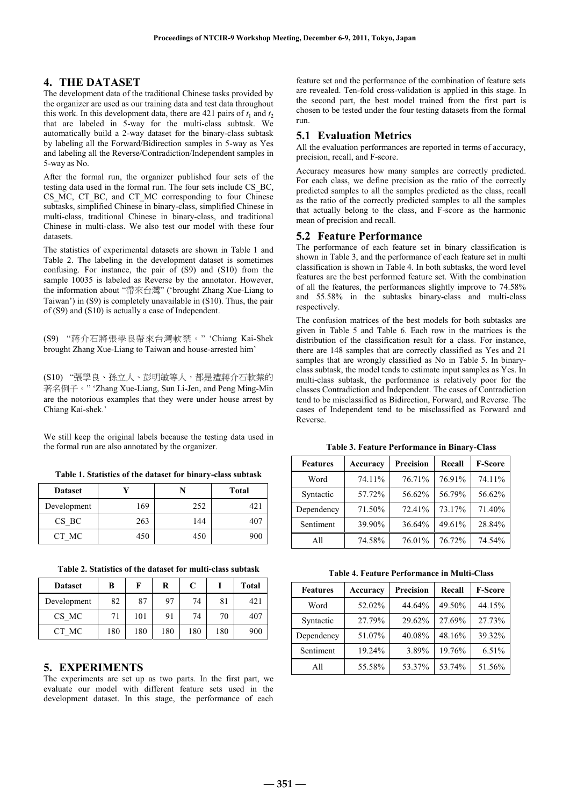# **4. THE DATASET**

The development data of the traditional Chinese tasks provided by the organizer are used as our training data and test data throughout this work. In this development data, there are 421 pairs of  $t_1$  and  $t_2$ that are labeled in 5-way for the multi-class subtask. We automatically build a 2-way dataset for the binary-class subtask by labeling all the Forward/Bidirection samples in 5-way as Yes and labeling all the Reverse/Contradiction/Independent samples in 5-way as No.

After the formal run, the organizer published four sets of the testing data used in the formal run. The four sets include CS\_BC, CS MC, CT BC, and CT MC corresponding to four Chinese subtasks, simplified Chinese in binary-class, simplified Chinese in multi-class, traditional Chinese in binary-class, and traditional Chinese in multi-class. We also test our model with these four datasets.

The statistics of experimental datasets are shown in Table 1 and Table 2. The labeling in the development dataset is sometimes confusing. For instance, the pair of (S9) and (S10) from the sample 10035 is labeled as Reverse by the annotator. However, the information about "帶來台灣" ('brought Zhang Xue-Liang to Taiwan') in (S9) is completely unavailable in (S10). Thus, the pair of (S9) and (S10) is actually a case of Independent.

(S9) "蔣介石將張學良帶來台灣軟禁。" 'Chiang Kai-Shek brought Zhang Xue-Liang to Taiwan and house-arrested him'

(S10) "張學良、孫立人、彭明敏等人,都是遭蔣介石軟禁的 著名例子。" 'Zhang Xue-Liang, Sun Li-Jen, and Peng Ming-Min are the notorious examples that they were under house arrest by Chiang Kai-shek.'

We still keep the original labels because the testing data used in the formal run are also annotated by the organizer.

**Table 1. Statistics of the dataset for binary-class subtask** 

| <b>Dataset</b> |     |     | <b>Total</b> |
|----------------|-----|-----|--------------|
| Development    | 169 | 252 | 42.1         |
| CS BC          | 263 | 144 | 407          |
| CT MC          | 450 | 450 | 900          |

|  |  |  | Table 2. Statistics of the dataset for multi-class subtask |  |  |
|--|--|--|------------------------------------------------------------|--|--|
|--|--|--|------------------------------------------------------------|--|--|

| <b>Dataset</b> | в   | F   | R   | C   |     | <b>Total</b> |
|----------------|-----|-----|-----|-----|-----|--------------|
| Development    | 82  | 87  | 97  | 74  | 81  | 421          |
| CS MC          | 71  | 101 | 91  | 74  | 70  | 407          |
| CT MC          | 180 | 180 | 180 | 180 | 180 | 900          |

# **5. EXPERIMENTS**

The experiments are set up as two parts. In the first part, we evaluate our model with different feature sets used in the development dataset. In this stage, the performance of each

feature set and the performance of the combination of feature sets are revealed. Ten-fold cross-validation is applied in this stage. In the second part, the best model trained from the first part is chosen to be tested under the four testing datasets from the formal run.

### **5.1 Evaluation Metrics**

All the evaluation performances are reported in terms of accuracy, precision, recall, and F-score.

Accuracy measures how many samples are correctly predicted. For each class, we define precision as the ratio of the correctly predicted samples to all the samples predicted as the class, recall as the ratio of the correctly predicted samples to all the samples that actually belong to the class, and F-score as the harmonic mean of precision and recall.

### **5.2 Feature Performance**

The performance of each feature set in binary classification is shown in Table 3, and the performance of each feature set in multi classification is shown in Table 4. In both subtasks, the word level features are the best performed feature set. With the combination of all the features, the performances slightly improve to 74.58% and 55.58% in the subtasks binary-class and multi-class respectively.

The confusion matrices of the best models for both subtasks are given in Table 5 and Table 6. Each row in the matrices is the distribution of the classification result for a class. For instance, there are 148 samples that are correctly classified as Yes and 21 samples that are wrongly classified as No in Table 5. In binaryclass subtask, the model tends to estimate input samples as Yes. In multi-class subtask, the performance is relatively poor for the classes Contradiction and Independent. The cases of Contradiction tend to be misclassified as Bidirection, Forward, and Reverse. The cases of Independent tend to be misclassified as Forward and Reverse.

| <b>Features</b> | Accuracy | Precision | Recall | <b>F-Score</b> |
|-----------------|----------|-----------|--------|----------------|
| Word            | 74.11%   | 76.71%    | 76.91% | 74.11%         |
| Syntactic       | 57.72%   | 56.62%    | 56.79% | 56.62%         |
| Dependency      | 71.50%   | 72.41%    | 73.17% | 71.40%         |
| Sentiment       | 39.90%   | 36.64%    | 49.61% | 28.84%         |
| All             | 74.58%   | 76.01%    | 76.72% | 74.54%         |

**Table 4. Feature Performance in Multi-Class** 

| <b>Features</b> | Accuracy | Precision | Recall | <b>F-Score</b> |
|-----------------|----------|-----------|--------|----------------|
| Word            | 52.02%   | 44.64%    | 49.50% | 44.15%         |
| Syntactic       | 27.79%   | 29.62%    | 27.69% | 27.73%         |
| Dependency      | 51.07%   | 40.08%    | 48.16% | 39.32%         |
| Sentiment       | 19.24%   | 3.89%     | 19.76% | $6.51\%$       |
| All             | 55.58%   | 53.37%    | 53.74% | 51.56%         |